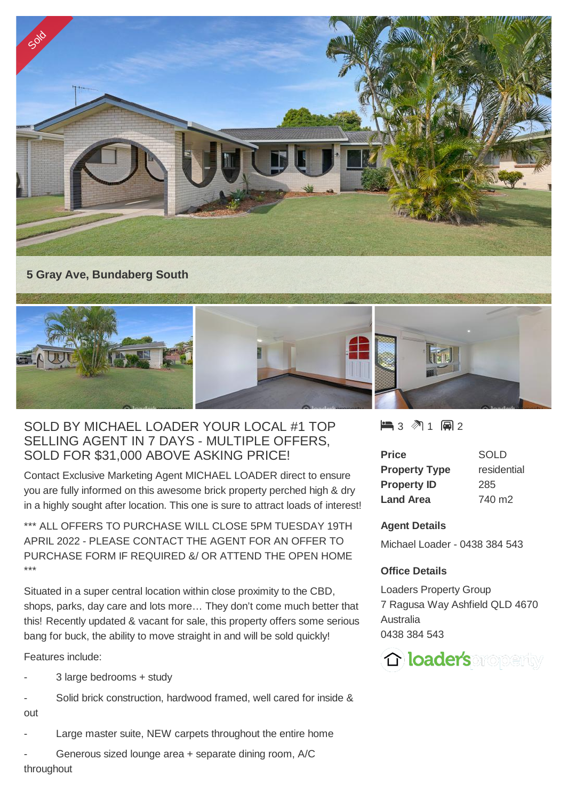

## SOLD BY MICHAEL LOADER YOUR LOCAL #1 TOP SELLING AGENT IN 7 DAYS - MULTIPLE OFFERS, SOLD FOR \$31,000 ABOVE ASKING PRICE!

Contact Exclusive Marketing Agent MICHAEL LOADER direct to ensure you are fully informed on this awesome brick property perched high & dry in a highly sought after location. This one is sure to attract loads of interest!

\*\*\* ALL OFFERS TO PURCHASE WILL CLOSE 5PM TUESDAY 19TH APRIL 2022 - PLEASE CONTACT THE AGENT FOR AN OFFER TO PURCHASE FORM IF REQUIRED &/ OR ATTEND THE OPEN HOME \*\*\*

Situated in a super central location within close proximity to the CBD, shops, parks, day care and lots more… They don't come much better that this! Recently updated & vacant for sale, this property offers some serious bang for buck, the ability to move straight in and will be sold quickly!

Features include:

- 3 large bedrooms + study
- Solid brick construction, hardwood framed, well cared for inside & out
- Large master suite, NEW carpets throughout the entire home
- Generous sized lounge area + separate dining room, A/C throughout

 $\blacksquare$  3 2 1 2 2

| <b>Price</b>         | SOLD               |
|----------------------|--------------------|
| <b>Property Type</b> | residential        |
| <b>Property ID</b>   | 285                |
| <b>Land Area</b>     | 740 m <sub>2</sub> |

## **Agent Details**

Michael Loader - 0438 384 543

## **Office Details**

Loaders Property Group 7 Ragusa Way Ashfield QLD 4670 Australia 0438 384 543

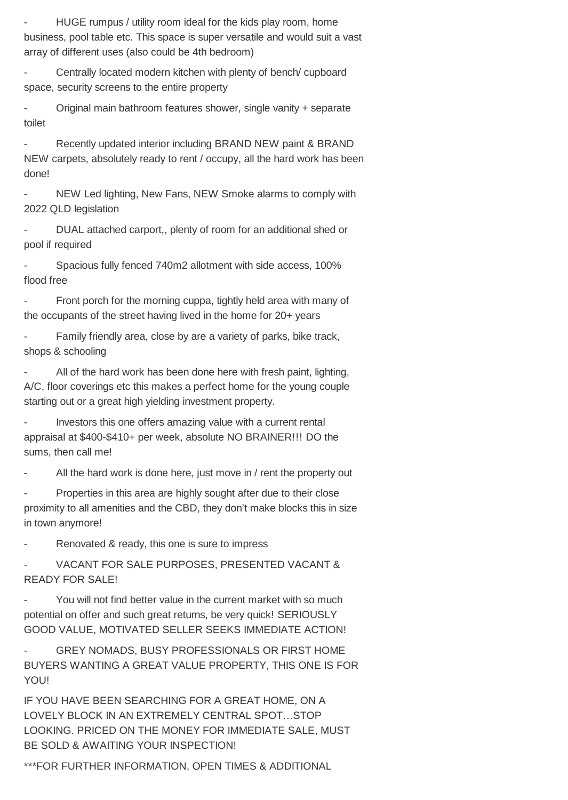HUGE rumpus / utility room ideal for the kids play room, home business, pool table etc. This space is super versatile and would suit a vast array of different uses (also could be 4th bedroom)

- Centrally located modern kitchen with plenty of bench/ cupboard space, security screens to the entire property

- Original main bathroom features shower, single vanity + separate toilet

- Recently updated interior including BRAND NEW paint & BRAND NEW carpets, absolutely ready to rent / occupy, all the hard work has been done!

NEW Led lighting, New Fans, NEW Smoke alarms to comply with 2022 QLD legislation

- DUAL attached carport,, plenty of room for an additional shed or pool if required

Spacious fully fenced 740m2 allotment with side access, 100% flood free

Front porch for the morning cuppa, tightly held area with many of the occupants of the street having lived in the home for 20+ years

- Family friendly area, close by are a variety of parks, bike track, shops & schooling

All of the hard work has been done here with fresh paint, lighting, A/C, floor coverings etc this makes a perfect home for the young couple starting out or a great high yielding investment property.

- Investors this one offers amazing value with a current rental appraisal at \$400-\$410+ per week, absolute NO BRAINER!!! DO the sums, then call me!

All the hard work is done here, just move in / rent the property out

Properties in this area are highly sought after due to their close proximity to all amenities and the CBD, they don't make blocks this in size in town anymore!

Renovated & ready, this one is sure to impress

VACANT FOR SALE PURPOSES, PRESENTED VACANT & READY FOR SALE!

You will not find better value in the current market with so much potential on offer and such great returns, be very quick! SERIOUSLY GOOD VALUE, MOTIVATED SELLER SEEKS IMMEDIATE ACTION!

GREY NOMADS, BUSY PROFESSIONALS OR FIRST HOME BUYERS WANTING A GREAT VALUE PROPERTY, THIS ONE IS FOR YOU!

IF YOU HAVE BEEN SEARCHING FOR A GREAT HOME, ON A LOVELY BLOCK IN AN EXTREMELY CENTRAL SPOT…STOP LOOKING. PRICED ON THE MONEY FOR IMMEDIATE SALE, MUST BE SOLD & AWAITING YOUR INSPECTION!

\*\*\*FOR FURTHER INFORMATION, OPEN TIMES & ADDITIONAL